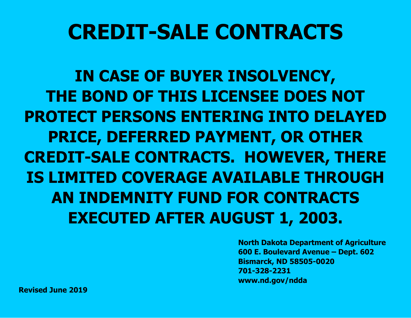# **CREDIT-SALE CONTRACTS**

**IN CASE OF BUYER INSOLVENCY, THE BOND OF THIS LICENSEE DOES NOT PROTECT PERSONS ENTERING INTO DELAYED PRICE, DEFERRED PAYMENT, OR OTHER CREDIT-SALE CONTRACTS. HOWEVER, THERE IS LIMITED COVERAGE AVAILABLE THROUGH AN INDEMNITY FUND FOR CONTRACTS EXECUTED AFTER AUGUST 1, 2003.**

> **North Dakota Department of Agriculture 600 E. Boulevard Avenue – Dept. 602 Bismarck, ND 58505-0020 701-328-2231 www.nd.gov/ndda**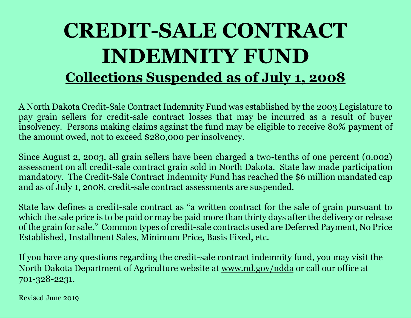## **CREDIT-SALE CONTRACT INDEMNITY FUND Collections Suspended as of July 1, 2008**

A North Dakota Credit-Sale Contract Indemnity Fund was established by the 2003 Legislature to pay grain sellers for credit-sale contract losses that may be incurred as a result of buyer insolvency. Persons making claims against the fund may be eligible to receive 80% payment of the amount owed, not to exceed \$280,000 per insolvency.

Since August 2, 2003, all grain sellers have been charged a two-tenths of one percent (0.002) assessment on all credit-sale contract grain sold in North Dakota. State law made participation mandatory. The Credit-Sale Contract Indemnity Fund has reached the \$6 million mandated cap and as of July 1, 2008, credit-sale contract assessments are suspended.

State law defines a credit-sale contract as "a written contract for the sale of grain pursuant to which the sale price is to be paid or may be paid more than thirty days after the delivery or release of the grain for sale." Common types of credit-sale contracts used are Deferred Payment, No Price Established, Installment Sales, Minimum Price, Basis Fixed, etc.

If you have any questions regarding the credit-sale contract indemnity fund, you may visit the North Dakota Department of Agriculture website at www.nd.gov/ndda or call our office at 701-328-2231.

Revised June 2019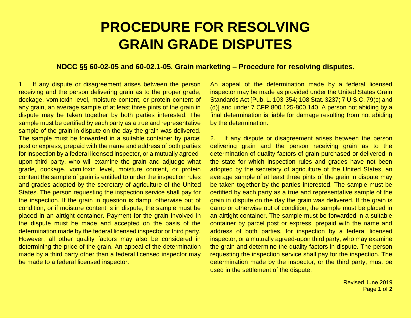### **PROCEDURE FOR RESOLVING GRAIN GRADE DISPUTES**

#### **NDCC §§ 60-02-05 and 60-02.1-05. Grain marketing – Procedure for resolving disputes.**

1. If any dispute or disagreement arises between the person receiving and the person delivering grain as to the proper grade, dockage, vomitoxin level, moisture content, or protein content of any grain, an average sample of at least three pints of the grain in dispute may be taken together by both parties interested. The sample must be certified by each party as a true and representative sample of the grain in dispute on the day the grain was delivered. The sample must be forwarded in a suitable container by parcel post or express, prepaid with the name and address of both parties for inspection by a federal licensed inspector, or a mutually agreedupon third party, who will examine the grain and adjudge what grade, dockage, vomitoxin level, moisture content, or protein content the sample of grain is entitled to under the inspection rules and grades adopted by the secretary of agriculture of the United States. The person requesting the inspection service shall pay for the inspection. If the grain in question is damp, otherwise out of condition, or if moisture content is in dispute, the sample must be placed in an airtight container. Payment for the grain involved in the dispute must be made and accepted on the basis of the determination made by the federal licensed inspector or third party. However, all other quality factors may also be considered in determining the price of the grain. An appeal of the determination made by a third party other than a federal licensed inspector may be made to a federal licensed inspector.

An appeal of the determination made by a federal licensed inspector may be made as provided under the United States Grain Standards Act [Pub. L. 103-354; 108 Stat. 3237; 7 U.S.C. 79(c) and (d)] and under 7 CFR 800.125-800.140. A person not abiding by a final determination is liable for damage resulting from not abiding by the determination.

2. If any dispute or disagreement arises between the person delivering grain and the person receiving grain as to the determination of quality factors of grain purchased or delivered in the state for which inspection rules and grades have not been adopted by the secretary of agriculture of the United States, an average sample of at least three pints of the grain in dispute may be taken together by the parties interested. The sample must be certified by each party as a true and representative sample of the grain in dispute on the day the grain was delivered. If the grain is damp or otherwise out of condition, the sample must be placed in an airtight container. The sample must be forwarded in a suitable container by parcel post or express, prepaid with the name and address of both parties, for inspection by a federal licensed inspector, or a mutually agreed-upon third party, who may examine the grain and determine the quality factors in dispute. The person requesting the inspection service shall pay for the inspection. The determination made by the inspector, or the third party, must be used in the settlement of the dispute.

> Revised June 2019 Page **1** of **2**